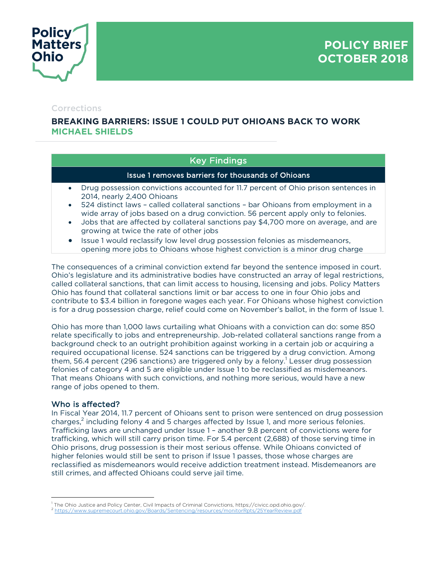

#### Corrections

# **BREAKING BARRIERS: ISSUE 1 COULD PUT OHIOANS BACK TO WORK MICHAEL SHIELDS**

## Key Findings

#### Issue 1 removes barriers for thousands of Ohioans

- Drug possession convictions accounted for 11.7 percent of Ohio prison sentences in 2014, nearly 2,400 Ohioans
- 524 distinct laws called collateral sanctions bar Ohioans from employment in a wide array of jobs based on a drug conviction. 56 percent apply only to felonies.
- Jobs that are affected by collateral sanctions pay \$4,700 more on average, and are growing at twice the rate of other jobs
- Issue 1 would reclassify low level drug possession felonies as misdemeanors, opening more jobs to Ohioans whose highest conviction is a minor drug charge

The consequences of a criminal conviction extend far beyond the sentence imposed in court. Ohio's legislature and its administrative bodies have constructed an array of legal restrictions, called collateral sanctions, that can limit access to housing, licensing and jobs. Policy Matters Ohio has found that collateral sanctions limit or bar access to one in four Ohio jobs and contribute to \$3.4 billion in foregone wages each year. For Ohioans whose highest conviction is for a drug possession charge, relief could come on November's ballot, in the form of Issue 1.

Ohio has more than 1,000 laws curtailing what Ohioans with a conviction can do: some 850 relate specifically to jobs and entrepreneurship. Job-related collateral sanctions range from a background check to an outright prohibition against working in a certain job or acquiring a required occupational license. 524 sanctions can be triggered by a drug conviction. Among them, 56.4 percent (296 sanctions) are triggered only by a felony.<sup>1</sup> Lesser drug possession felonies of category 4 and 5 are eligible under Issue 1 to be reclassified as misdemeanors. That means Ohioans with such convictions, and nothing more serious, would have a new range of jobs opened to them.

#### Who is affected?

In Fiscal Year 2014, 11.7 percent of Ohioans sent to prison were sentenced on drug possession charges, $^2$  including felony 4 and 5 charges affected by Issue 1, and more serious felonies. Trafficking laws are unchanged under Issue 1 – another 9.8 percent of convictions were for trafficking, which will still carry prison time. For 5.4 percent (2,688) of those serving time in Ohio prisons, drug possession is their most serious offense. While Ohioans convicted of higher felonies would still be sent to prison if Issue 1 passes, those whose charges are reclassified as misdemeanors would receive addiction treatment instead. Misdemeanors are still crimes, and affected Ohioans could serve jail time.

 $\overline{a}$ The Ohio Justice and Policy Center, Civil Impacts of Criminal Convictions, https://civicc.opd.ohio.gov/.

<sup>2</sup> https://www.supremecourt.ohio.gov/Boards/Sentencing/resources/monitorRpts/25YearReview.pdf